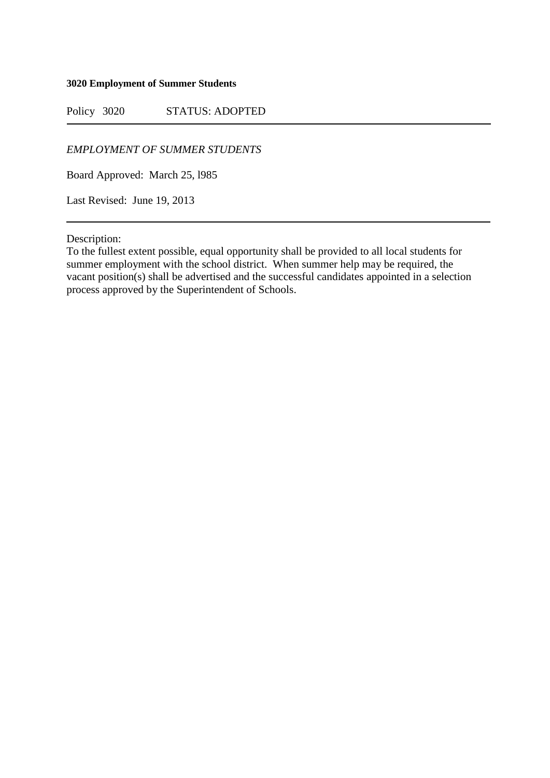## **3020 Employment of Summer Students**

Policy 3020 STATUS: ADOPTED

*EMPLOYMENT OF SUMMER STUDENTS* 

Board Approved: March 25, l985

Last Revised: June 19, 2013

Description:

To the fullest extent possible, equal opportunity shall be provided to all local students for summer employment with the school district. When summer help may be required, the vacant position(s) shall be advertised and the successful candidates appointed in a selection process approved by the Superintendent of Schools.